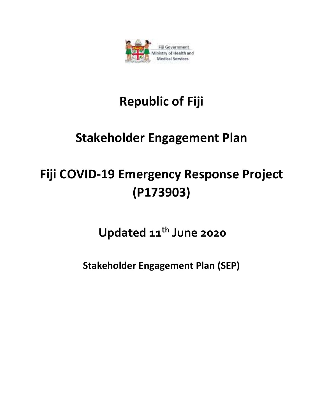

## **Republic of Fiji**

### **Stakeholder Engagement Plan**

# **Fiji COVID-19 Emergency Response Project (P173903)**

**Updated 11th June 2020** 

**Stakeholder Engagement Plan (SEP)**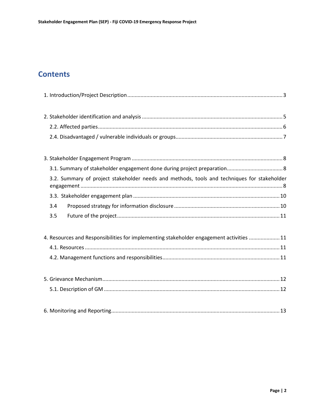### **Contents**

| 3.2. Summary of project stakeholder needs and methods, tools and techniques for stakeholder |
|---------------------------------------------------------------------------------------------|
|                                                                                             |
| 3.4                                                                                         |
| 3.5                                                                                         |
| 4. Resources and Responsibilities for implementing stakeholder engagement activities  11    |
|                                                                                             |
|                                                                                             |
|                                                                                             |
|                                                                                             |
|                                                                                             |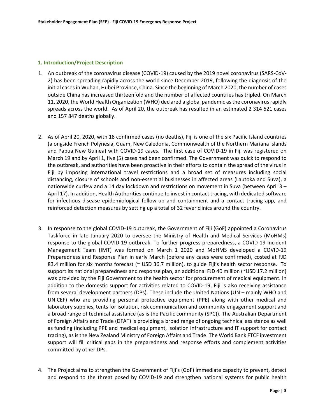#### **1. Introduction/Project Description**

- 1. An outbreak of the coronavirus disease (COVID-19) caused by the 2019 novel coronavirus (SARS-CoV-2) has been spreading rapidly across the world since December 2019, following the diagnosis of the initial cases in Wuhan, Hubei Province, China. Since the beginning of March 2020, the number of cases outside China has increased thirteenfold and the number of affected countries has tripled. On March 11, 2020, the World Health Organization (WHO) declared a global pandemic as the coronavirus rapidly spreads across the world. As of April 20, the outbreak has resulted in an estimated 2 314 621 cases and 157 847 deaths globally.
- 2. As of April 20, 2020, with 18 confirmed cases (no deaths), Fiji is one of the six Pacific Island countries (alongside French Polynesia, Guam, New Caledonia, Commonwealth of the Northern Mariana Islands and Papua New Guinea) with COVID-19 cases. The first case of COVID-19 in Fiji was registered on March 19 and by April 1, five (5) cases had been confirmed. The Government was quick to respond to the outbreak, and authorities have been proactive in their efforts to contain the spread of the virus in Fiji by imposing international travel restrictions and a broad set of measures including social distancing, closure of schools and non-essential businesses in affected areas (Lautoka and Suva), a nationwide curfew and a 14 day lockdown and restrictions on movement in Suva (between April 3 – April 17). In addition, Health Authorities continue to invest in contact tracing, with dedicated software for infectious disease epidemiological follow-up and containment and a contact tracing app, and reinforced detection measures by setting up a total of 32 fever clinics around the country.
- 3. In response to the global COVID-19 outbreak, the Government of Fiji (GoF) appointed a Coronavirus Taskforce in late January 2020 to oversee the Ministry of Health and Medical Services (MoHMs) response to the global COVID-19 outbreak. To further progress preparedness, a COVID-19 Incident Management Team (IMT) was formed on March 1 2020 and MoHMS developed a COVID-19 Preparedness and Response Plan in early March (before any cases were confirmed), costed at FJD 83.4 million for six months forecast (~ USD 36.7 million), to guide Fiji's health sector response. To support its national preparedness and response plan, an additional FJD 40 million (~USD 17.2 million) was provided by the Fiji Government to the health sector for procurement of medical equipment. In addition to the domestic support for activities related to COVID-19, Fiji is also receiving assistance from several development partners (DPs). These include the United Nations (UN – mainly WHO and UNICEF) who are providing personal protective equipment (PPE) along with other medical and laboratory supplies, tents for isolation, risk communication and community engagement support and a broad range of technical assistance (as is the Pacific community (SPC)). The Australian Department of Foreign Affairs and Trade (DFAT) is providing a broad range of ongoing technical assistance as well as funding (including PPE and medical equipment, isolation infrastructure and IT support for contact tracing), as is the New Zealand Ministry of Foreign Affairs and Trade. The World Bank FTCF investment support will fill critical gaps in the preparedness and response efforts and complement activities committed by other DPs.
- 4. The Project aims to strengthen the Government of Fiji's (GoF) immediate capacity to prevent, detect and respond to the threat posed by COVID-19 and strengthen national systems for public health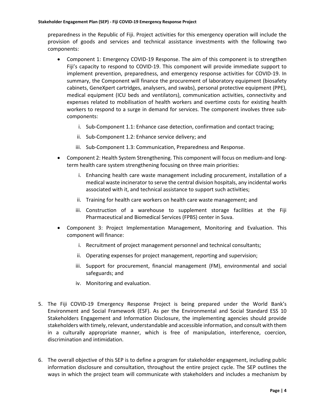preparedness in the Republic of Fiji. Project activities for this emergency operation will include the provision of goods and services and technical assistance investments with the following two components:

- Component 1: Emergency COVID-19 Response. The aim of this component is to strengthen Fiji's capacity to respond to COVID-19. This component will provide immediate support to implement prevention, preparedness, and emergency response activities for COVID-19. In summary, the Component will finance the procurement of laboratory equipment (biosafety cabinets, GeneXpert cartridges, analysers, and swabs), personal protective equipment (PPE), medical equipment (ICU beds and ventilators), communication activities, connectivity and expenses related to mobilisation of health workers and overtime costs for existing health workers to respond to a surge in demand for services. The component involves three subcomponents:
	- i. Sub-Component 1.1: Enhance case detection, confirmation and contact tracing;
	- ii. Sub-Component 1.2: Enhance service delivery; and
	- iii. Sub-Component 1.3: Communication, Preparedness and Response.
- Component 2: Health System Strengthening. This component will focus on medium-and longterm health care system strengthening focusing on three main priorities:
	- i. Enhancing health care waste management including procurement, installation of a medical waste incinerator to serve the central division hospitals, any incidental works associated with it, and technical assistance to support such activities;
	- ii. Training for health care workers on health care waste management; and
	- iii. Construction of a warehouse to supplement storage facilities at the Fiji Pharmaceutical and Biomedical Services (FPBS) center in Suva.
- Component 3: Project Implementation Management, Monitoring and Evaluation. This component will finance:
	- i. Recruitment of project management personnel and technical consultants;
	- ii. Operating expenses for project management, reporting and supervision;
	- iii. Support for procurement, financial management (FM), environmental and social safeguards; and
	- iv. Monitoring and evaluation.
- 5. The Fiji COVID-19 Emergency Response Project is being prepared under the World Bank's Environment and Social Framework (ESF). As per the Environmental and Social Standard ESS 10 Stakeholders Engagement and Information Disclosure, the implementing agencies should provide stakeholders with timely, relevant, understandable and accessible information, and consult with them in a culturally appropriate manner, which is free of manipulation, interference, coercion, discrimination and intimidation.
- 6. The overall objective of this SEP is to define a program for stakeholder engagement, including public information disclosure and consultation, throughout the entire project cycle. The SEP outlines the ways in which the project team will communicate with stakeholders and includes a mechanism by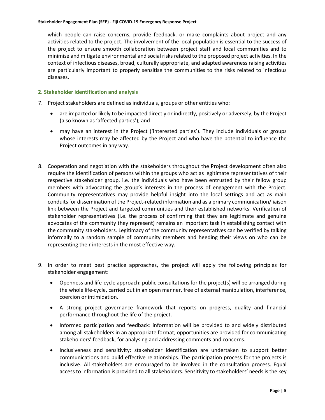which people can raise concerns, provide feedback, or make complaints about project and any activities related to the project. The involvement of the local population is essential to the success of the project to ensure smooth collaboration between project staff and local communities and to minimise and mitigate environmental and social risks related to the proposed project activities. In the context of infectious diseases, broad, culturally appropriate, and adapted awareness raising activities are particularly important to properly sensitise the communities to the risks related to infectious diseases.

#### **2. Stakeholder identification and analysis**

- 7. Project stakeholders are defined as individuals, groups or other entities who:
	- are impacted or likely to be impacted directly or indirectly, positively or adversely, by the Project (also known as 'affected parties'); and
	- may have an interest in the Project ('interested parties'). They include individuals or groups whose interests may be affected by the Project and who have the potential to influence the Project outcomes in any way.
- 8. Cooperation and negotiation with the stakeholders throughout the Project development often also require the identification of persons within the groups who act as legitimate representatives of their respective stakeholder group, i.e. the individuals who have been entrusted by their fellow group members with advocating the group's interests in the process of engagement with the Project. Community representatives may provide helpful insight into the local settings and act as main conduits for dissemination of the Project-related information and as a primary communication/liaison link between the Project and targeted communities and their established networks. Verification of stakeholder representatives (i.e. the process of confirming that they are legitimate and genuine advocates of the community they represent) remains an important task in establishing contact with the community stakeholders. Legitimacy of the community representatives can be verified by talking informally to a random sample of community members and heeding their views on who can be representing their interests in the most effective way.
- 9. In order to meet best practice approaches, the project will apply the following principles for stakeholder engagement:
	- Openness and life-cycle approach: public consultations for the project(s) will be arranged during the whole life-cycle, carried out in an open manner, free of external manipulation, interference, coercion or intimidation.
	- A strong project governance framework that reports on progress, quality and financial performance throughout the life of the project.
	- Informed participation and feedback: information will be provided to and widely distributed among all stakeholders in an appropriate format; opportunities are provided for communicating stakeholders' feedback, for analysing and addressing comments and concerns.
	- Inclusiveness and sensitivity: stakeholder identification are undertaken to support better communications and build effective relationships. The participation process for the projects is inclusive. All stakeholders are encouraged to be involved in the consultation process. Equal access to information is provided to all stakeholders. Sensitivity to stakeholders' needs is the key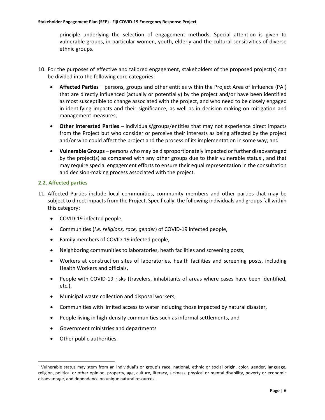principle underlying the selection of engagement methods. Special attention is given to vulnerable groups, in particular women, youth, elderly and the cultural sensitivities of diverse ethnic groups.

- 10. For the purposes of effective and tailored engagement, stakeholders of the proposed project(s) can be divided into the following core categories:
	- **Affected Parties** persons, groups and other entities within the Project Area of Influence (PAI) that are directly influenced (actually or potentially) by the project and/or have been identified as most susceptible to change associated with the project, and who need to be closely engaged in identifying impacts and their significance, as well as in decision-making on mitigation and management measures;
	- **Other Interested Parties** individuals/groups/entities that may not experience direct impacts from the Project but who consider or perceive their interests as being affected by the project and/or who could affect the project and the process of its implementation in some way; and
	- **Vulnerable Groups** persons who may be disproportionately impacted or further disadvantaged by the project(s) as compared with any other groups due to their vulnerable status<sup>1</sup>, and that may require special engagement efforts to ensure their equal representation in the consultation and decision-making process associated with the project.

#### **2.2. Affected parties**

- 11. Affected Parties include local communities, community members and other parties that may be subject to direct impacts from the Project. Specifically, the following individuals and groups fall within this category:
	- COVID-19 infected people,
	- Communities (*i.e. religions, race, gender*) of COVID-19 infected people,
	- Family members of COVID-19 infected people,
	- Neighboring communities to laboratories, heath facilities and screening posts,
	- Workers at construction sites of laboratories, health facilities and screening posts, including Health Workers and officials,
	- People with COVID-19 risks (travelers, inhabitants of areas where cases have been identified, etc.),
	- Municipal waste collection and disposal workers,
	- Communities with limited access to water including those impacted by natural disaster,
	- People living in high-density communities such as informal settlements, and
	- Government ministries and departments
	- Other public authorities.

<sup>1</sup> Vulnerable status may stem from an individual's or group's race, national, ethnic or social origin, color, gender, language, religion, political or other opinion, property, age, culture, literacy, sickness, physical or mental disability, poverty or economic disadvantage, and dependence on unique natural resources.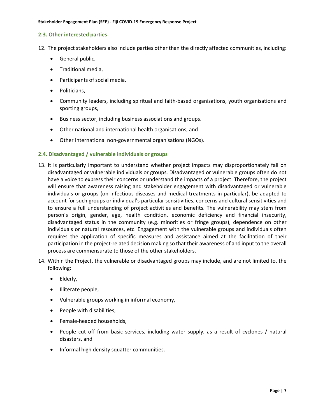#### **2.3. Other interested parties**

- 12. The project stakeholders also include parties other than the directly affected communities, including:
	- General public,
	- Traditional media,
	- Participants of social media,
	- Politicians,
	- Community leaders, including spiritual and faith-based organisations, youth organisations and sporting groups,
	- Business sector, including business associations and groups.
	- Other national and international health organisations, and
	- Other International non-governmental organisations (NGOs).

#### **2.4. Disadvantaged / vulnerable individuals or groups**

- 13. It is particularly important to understand whether project impacts may disproportionately fall on disadvantaged or vulnerable individuals or groups. Disadvantaged or vulnerable groups often do not have a voice to express their concerns or understand the impacts of a project. Therefore, the project will ensure that awareness raising and stakeholder engagement with disadvantaged or vulnerable individuals or groups (on infectious diseases and medical treatments in particular), be adapted to account for such groups or individual's particular sensitivities, concerns and cultural sensitivities and to ensure a full understanding of project activities and benefits. The vulnerability may stem from person's origin, gender, age, health condition, economic deficiency and financial insecurity, disadvantaged status in the community (e.g. minorities or fringe groups), dependence on other individuals or natural resources, etc. Engagement with the vulnerable groups and individuals often requires the application of specific measures and assistance aimed at the facilitation of their participation in the project-related decision making so that their awareness of and input to the overall process are commensurate to those of the other stakeholders.
- 14. Within the Project, the vulnerable or disadvantaged groups may include, and are not limited to, the following:
	- Elderly,
	- Illiterate people,
	- Vulnerable groups working in informal economy,
	- People with disabilities,
	- Female-headed households,
	- People cut off from basic services, including water supply, as a result of cyclones / natural disasters, and
	- Informal high density squatter communities.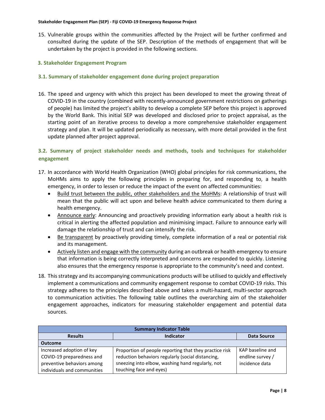15. Vulnerable groups within the communities affected by the Project will be further confirmed and consulted during the update of the SEP. Description of the methods of engagement that will be undertaken by the project is provided in the following sections.

#### **3. Stakeholder Engagement Program**

#### **3.1. Summary of stakeholder engagement done during project preparation**

16. The speed and urgency with which this project has been developed to meet the growing threat of COVID-19 in the country (combined with recently-announced government restrictions on gatherings of people) has limited the project's ability to develop a complete SEP before this project is approved by the World Bank. This initial SEP was developed and disclosed prior to project appraisal, as the starting point of an iterative process to develop a more comprehensive stakeholder engagement strategy and plan. It will be updated periodically as necessary, with more detail provided in the first update planned after project approval.

#### **3.2. Summary of project stakeholder needs and methods, tools and techniques for stakeholder engagement**

- 17. In accordance with World Health Organization (WHO) global principles for risk communications, the MoHMs aims to apply the following principles in preparing for, and responding to, a health emergency, in order to lessen or reduce the impact of the event on affected communities:
	- Build trust between the public, other stakeholders and the MoHMs: A relationship of trust will mean that the public will act upon and believe health advice communicated to them during a health emergency.
	- Announce early: Announcing and proactively providing information early about a health risk is critical in alerting the affected population and minimising impact. Failure to announce early will damage the relationship of trust and can intensify the risk.
	- Be transparent by proactively providing timely, complete information of a real or potential risk and its management.
	- Actively listen and engage with the community during an outbreak or health emergency to ensure that information is being correctly interpreted and concerns are responded to quickly. Listening also ensures that the emergency response is appropriate to the community's need and context.
- 18. This strategy and its accompanying communications products will be utilised to quickly and effectively implement a communications and community engagement response to combat COVID-19 risks. This strategy adheres to the principles described above and takes a multi-hazard, multi-sector approach to communication activities. The following table outlines the overarching aim of the stakeholder engagement approaches, indicators for measuring stakeholder engagement and potential data sources.

| <b>Summary Indicator Table</b> |                                                        |                    |  |  |
|--------------------------------|--------------------------------------------------------|--------------------|--|--|
| <b>Results</b>                 | Indicator                                              | <b>Data Source</b> |  |  |
| <b>Outcome</b>                 |                                                        |                    |  |  |
| Increased adoption of key      | Proportion of people reporting that they practice risk | KAP baseline and   |  |  |
| COVID-19 preparedness and      | reduction behaviors regularly (social distancing,      | endline survey /   |  |  |
| preventive behaviors among     | sneezing into elbow, washing hand regularly, not       | incidence data     |  |  |
| individuals and communities    | touching face and eyes)                                |                    |  |  |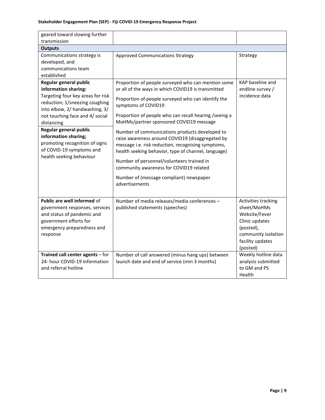| geared toward slowing further<br>transmission                                                                                                                                                                                                                                                                                                        |                                                                                                                                                                                                                                                                                                                                                                                                                                                                                                                                                                                                                                                                    |                                                                                                                                           |
|------------------------------------------------------------------------------------------------------------------------------------------------------------------------------------------------------------------------------------------------------------------------------------------------------------------------------------------------------|--------------------------------------------------------------------------------------------------------------------------------------------------------------------------------------------------------------------------------------------------------------------------------------------------------------------------------------------------------------------------------------------------------------------------------------------------------------------------------------------------------------------------------------------------------------------------------------------------------------------------------------------------------------------|-------------------------------------------------------------------------------------------------------------------------------------------|
| <b>Outputs</b>                                                                                                                                                                                                                                                                                                                                       |                                                                                                                                                                                                                                                                                                                                                                                                                                                                                                                                                                                                                                                                    |                                                                                                                                           |
| Communications strategy is<br>developed, and<br>communications team<br>established                                                                                                                                                                                                                                                                   | <b>Approved Communications Strategy</b>                                                                                                                                                                                                                                                                                                                                                                                                                                                                                                                                                                                                                            | Strategy                                                                                                                                  |
| Regular general public<br>information sharing:<br>Targeting four key areas for risk<br>reduction; 1/sneezing coughing<br>into elbow, 2/ handwashing, 3/<br>not touching face and 4/ social<br>distancing<br>Regular general public<br>information sharing;<br>promoting recognition of signs<br>of COVID-19 symptoms and<br>health seeking behaviour | Proportion of people surveyed who can mention some<br>or all of the ways in which COVID19 is transmitted<br>Proportion of people surveyed who can identify the<br>symptoms of COVID19<br>Proportion of people who can recall hearing / seeing a<br>MoHMs/partner sponsored COVID19 message<br>Number of communications products developed to<br>raise awareness around COVID19 (disaggregated by<br>message i.e. risk reduction, recognising symptoms,<br>health seeking behavior, type of channel, language)<br>Number of personnel/volunteers trained in<br>community awareness for COVID19 related<br>Number of (message compliant) newspaper<br>advertisements | KAP baseline and<br>endline survey /<br>incidence data                                                                                    |
| Public are well informed of<br>government responses, services<br>and status of pandemic and<br>government efforts for<br>emergency preparedness and<br>response                                                                                                                                                                                      | Number of media releases/media conferences -<br>published statements (speeches)                                                                                                                                                                                                                                                                                                                                                                                                                                                                                                                                                                                    | Activities tracking<br>sheet/MoHMs<br>Website/Fever<br>Clinic updates<br>(posted),<br>community isolation<br>facility updates<br>(posted) |
| Trained call center agents - for<br>24- hour COVID-19 information<br>and referral hotline                                                                                                                                                                                                                                                            | Number of call answered (minus hang ups) between<br>launch date and end of service (min 3 months)                                                                                                                                                                                                                                                                                                                                                                                                                                                                                                                                                                  | Weekly hotline data<br>analysis submitted<br>to GM and PS<br>Health                                                                       |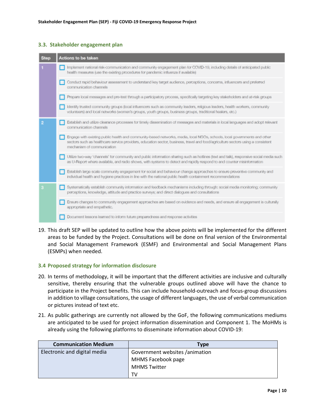#### **3.3. Stakeholder engagement plan**

| Implement national risk-communication and community engagement plan for COVID-19, including details of anticipated public<br>health measures (use the existing procedures for pandemic influenza if available)<br>Conduct rapid behaviour assessment to understand key target audience, perceptions, concerns, influencers and preferred<br>communication channels<br>Prepare local messages and pre-test through a participatory process, specifically targeting key stakeholders and at-risk groups<br>Identify trusted community groups (local influencers such as community leaders, religious leaders, health workers, community<br>volunteers) and local networks (women's groups, youth groups, business groups, traditional healers, etc.)<br>Establish and utilize clearance processes for timely dissemination of messages and materials in local languages and adopt relevant<br>communication channels<br>Engage with existing public health and community-based networks, media, local NGOs, schools, local governments and other<br>sectors such as healthcare service providers, education sector, business, travel and food/agriculture sectors using a consistent<br>mechanism of communication.<br>Utilize two-way 'channels' for community and public information sharing such as hotlines (text and talk), responsive social media such<br>as U-Report where available, and radio shows, with systems to detect and rapidly respond to and counter misinformation<br>Establish large scale community engagement for social and behaviour change approaches to ensure preventive community and<br>individual health and hygiene practices in line with the national public health containment recommendations<br>Systematically establish community information and feedback mechanisms including through: social media monitoring; community<br>perceptions, knowledge, attitude and practice surveys; and direct dialogues and consultations | <b>Step</b> | <b>Actions to be taken</b> |
|-------------------------------------------------------------------------------------------------------------------------------------------------------------------------------------------------------------------------------------------------------------------------------------------------------------------------------------------------------------------------------------------------------------------------------------------------------------------------------------------------------------------------------------------------------------------------------------------------------------------------------------------------------------------------------------------------------------------------------------------------------------------------------------------------------------------------------------------------------------------------------------------------------------------------------------------------------------------------------------------------------------------------------------------------------------------------------------------------------------------------------------------------------------------------------------------------------------------------------------------------------------------------------------------------------------------------------------------------------------------------------------------------------------------------------------------------------------------------------------------------------------------------------------------------------------------------------------------------------------------------------------------------------------------------------------------------------------------------------------------------------------------------------------------------------------------------------------------------------------------------------------------------------------------------------------------------------------------|-------------|----------------------------|
|                                                                                                                                                                                                                                                                                                                                                                                                                                                                                                                                                                                                                                                                                                                                                                                                                                                                                                                                                                                                                                                                                                                                                                                                                                                                                                                                                                                                                                                                                                                                                                                                                                                                                                                                                                                                                                                                                                                                                                   |             |                            |
|                                                                                                                                                                                                                                                                                                                                                                                                                                                                                                                                                                                                                                                                                                                                                                                                                                                                                                                                                                                                                                                                                                                                                                                                                                                                                                                                                                                                                                                                                                                                                                                                                                                                                                                                                                                                                                                                                                                                                                   |             |                            |
|                                                                                                                                                                                                                                                                                                                                                                                                                                                                                                                                                                                                                                                                                                                                                                                                                                                                                                                                                                                                                                                                                                                                                                                                                                                                                                                                                                                                                                                                                                                                                                                                                                                                                                                                                                                                                                                                                                                                                                   |             |                            |
|                                                                                                                                                                                                                                                                                                                                                                                                                                                                                                                                                                                                                                                                                                                                                                                                                                                                                                                                                                                                                                                                                                                                                                                                                                                                                                                                                                                                                                                                                                                                                                                                                                                                                                                                                                                                                                                                                                                                                                   |             |                            |
|                                                                                                                                                                                                                                                                                                                                                                                                                                                                                                                                                                                                                                                                                                                                                                                                                                                                                                                                                                                                                                                                                                                                                                                                                                                                                                                                                                                                                                                                                                                                                                                                                                                                                                                                                                                                                                                                                                                                                                   |             |                            |
|                                                                                                                                                                                                                                                                                                                                                                                                                                                                                                                                                                                                                                                                                                                                                                                                                                                                                                                                                                                                                                                                                                                                                                                                                                                                                                                                                                                                                                                                                                                                                                                                                                                                                                                                                                                                                                                                                                                                                                   |             |                            |
|                                                                                                                                                                                                                                                                                                                                                                                                                                                                                                                                                                                                                                                                                                                                                                                                                                                                                                                                                                                                                                                                                                                                                                                                                                                                                                                                                                                                                                                                                                                                                                                                                                                                                                                                                                                                                                                                                                                                                                   |             |                            |
|                                                                                                                                                                                                                                                                                                                                                                                                                                                                                                                                                                                                                                                                                                                                                                                                                                                                                                                                                                                                                                                                                                                                                                                                                                                                                                                                                                                                                                                                                                                                                                                                                                                                                                                                                                                                                                                                                                                                                                   |             |                            |
|                                                                                                                                                                                                                                                                                                                                                                                                                                                                                                                                                                                                                                                                                                                                                                                                                                                                                                                                                                                                                                                                                                                                                                                                                                                                                                                                                                                                                                                                                                                                                                                                                                                                                                                                                                                                                                                                                                                                                                   |             |                            |
| Ensure changes to community engagement approaches are based on evidence and needs, and ensure all engagement is culturally<br>appropriate and empathetic.                                                                                                                                                                                                                                                                                                                                                                                                                                                                                                                                                                                                                                                                                                                                                                                                                                                                                                                                                                                                                                                                                                                                                                                                                                                                                                                                                                                                                                                                                                                                                                                                                                                                                                                                                                                                         |             |                            |
| Document lessons learned to inform future preparedness and response activities                                                                                                                                                                                                                                                                                                                                                                                                                                                                                                                                                                                                                                                                                                                                                                                                                                                                                                                                                                                                                                                                                                                                                                                                                                                                                                                                                                                                                                                                                                                                                                                                                                                                                                                                                                                                                                                                                    |             |                            |

19. This draft SEP will be updated to outline how the above points will be implemented for the different areas to be funded by the Project. Consultations will be done on final version of the Environmental and Social Management Framework (ESMF) and Environmental and Social Management Plans (ESMPs) when needed.

#### **3.4 Proposed strategy for information disclosure**

- 20. In terms of methodology, it will be important that the different activities are inclusive and culturally sensitive, thereby ensuring that the vulnerable groups outlined above will have the chance to participate in the Project benefits. This can include household-outreach and focus-group discussions in addition to village consultations, the usage of different languages, the use of verbal communication or pictures instead of text etc.
- 21. As public gatherings are currently not allowed by the GoF, the following communications mediums are anticipated to be used for project information dissemination and Component 1. The MoHMs is already using the following platforms to disseminate information about COVID-19:

| <b>Communication Medium</b>  | <b>Type</b>                    |
|------------------------------|--------------------------------|
| Electronic and digital media | Government websites /animation |
|                              | MHMS Facebook page             |
|                              | <b>MHMS Twitter</b>            |
|                              | TV                             |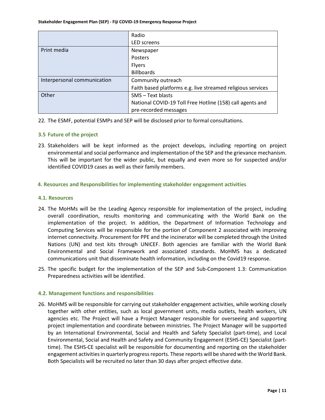|                             | Radio                                                       |
|-----------------------------|-------------------------------------------------------------|
|                             | <b>LED</b> screens                                          |
| Print media                 | Newspaper                                                   |
|                             | Posters                                                     |
|                             | <b>Flyers</b>                                               |
|                             | <b>Billboards</b>                                           |
| Interpersonal communication | Community outreach                                          |
|                             | Faith based platforms e.g. live streamed religious services |
| Other                       | SMS - Text blasts                                           |
|                             | National COVID-19 Toll Free Hotline (158) call agents and   |
|                             | pre-recorded messages                                       |

22. The ESMF, potential ESMPs and SEP will be disclosed prior to formal consultations.

#### **3.5 Future of the project**

23. Stakeholders will be kept informed as the project develops, including reporting on project environmental and social performance and implementation of the SEP and the grievance mechanism. This will be important for the wider public, but equally and even more so for suspected and/or identified COVID19 cases as well as their family members.

#### **4. Resources and Responsibilities for implementing stakeholder engagement activities**

#### **4.1. Resources**

- 24. The MoHMs will be the Leading Agency responsible for implementation of the project, including overall coordination, results monitoring and communicating with the World Bank on the implementation of the project. In addition, the Department of Information Technology and Computing Services will be responsible for the portion of Component 2 associated with improving internet connectivity. Procurement for PPE and the incinerator will be completed through the United Nations (UN) and test kits through UNICEF. Both agencies are familiar with the World Bank Environmental and Social Framework and associated standards. MoHMS has a dedicated communications unit that disseminate health information, including on the Covid19 response.
- 25. The specific budget for the implementation of the SEP and Sub-Component 1.3: Communication Preparedness activities will be identified.

#### **4.2. Management functions and responsibilities**

26. MoHMS will be responsible for carrying out stakeholder engagement activities, while working closely together with other entities, such as local government units, media outlets, health workers, UN agencies etc. The Project will have a Project Manager responsible for overseeing and supporting project implementation and coordinate between ministries. The Project Manager will be supported by an International Environmental, Social and Health and Safety Specialist (part-time), and Local Environmental, Social and Health and Safety and Community Engagement (ESHS-CE) Specialist (parttime). The ESHS-CE specialist will be responsible for documenting and reporting on the stakeholder engagement activities in quarterly progress reports. These reports will be shared with the World Bank. Both Specialists will be recruited no later than 30 days after project effective date.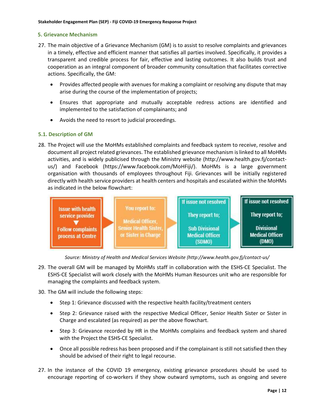#### **5. Grievance Mechanism**

- 27. The main objective of a Grievance Mechanism (GM) is to assist to resolve complaints and grievances in a timely, effective and efficient manner that satisfies all parties involved. Specifically, it provides a transparent and credible process for fair, effective and lasting outcomes. It also builds trust and cooperation as an integral component of broader community consultation that facilitates corrective actions. Specifically, the GM:
	- Provides affected people with avenues for making a complaint or resolving any dispute that may arise during the course of the implementation of projects;
	- Ensures that appropriate and mutually acceptable redress actions are identified and implemented to the satisfaction of complainants; and
	- Avoids the need to resort to judicial proceedings.

#### **5.1. Description of GM**

28. The Project will use the MoHMs established complaints and feedback system to receive, resolve and document all project related grievances. The established grievance mechanism is linked to all MoHMs activities, and is widely publicised through the Ministry website (http://www.health.gov.fj/contactus/) and Facebook (https://www.facebook.com/MoHFiji/). MoHMs is a large government organisation with thousands of employees throughout Fiji. Grievances will be initially registered directly with health service providers at health centers and hospitals and escalated within the MoHMs as indicated in the below flowchart:



*Source: Ministry of Health and Medical Services Website (http://www.health.gov.fj/contact-us/* 

- 29. The overall GM will be managed by MoHMs staff in collaboration with the ESHS-CE Specialist. The ESHS-CE Specialist will work closely with the MoHMs Human Resources unit who are responsible for managing the complaints and feedback system.
- 30. The GM will include the following steps:
	- Step 1: Grievance discussed with the respective health facility/treatment centers
	- Step 2: Grievance raised with the respective Medical Officer, Senior Health Sister or Sister in Charge and escalated (as required) as per the above flowchart.
	- Step 3: Grievance recorded by HR in the MoHMs complains and feedback system and shared with the Project the ESHS-CE Specialist.
	- Once all possible redress has been proposed and if the complainant is still not satisfied then they should be advised of their right to legal recourse.
- 27. In the instance of the COVID 19 emergency, existing grievance procedures should be used to encourage reporting of co-workers if they show outward symptoms, such as ongoing and severe